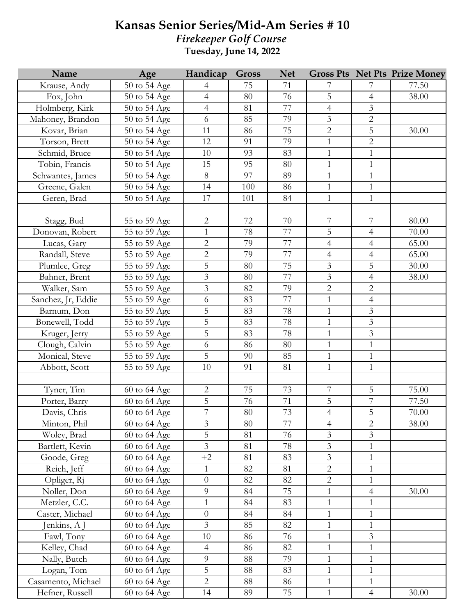## **Kansas Senior Series/Mid-Am Series # 10** *Firekeeper Golf Course* **Tuesday, June 14, 2022**

| Name               | Age                       | Handicap       | <b>Gross</b> | <b>Net</b> |                |                | <b>Gross Pts Net Pts Prize Money</b> |
|--------------------|---------------------------|----------------|--------------|------------|----------------|----------------|--------------------------------------|
| Krause, Andy       | 50 to 54 Age              | 4              | 75           | 71         | 7              | 7              | 77.50                                |
| Fox, John          | 50 to 54 Age              | $\overline{4}$ | 80           | 76         | 5              | $\overline{4}$ | 38.00                                |
| Holmberg, Kirk     | 50 to 54 Age              | $\overline{4}$ | 81           | 77         | $\overline{4}$ | 3              |                                      |
| Mahoney, Brandon   | 50 to 54 Age              | 6              | 85           | 79         | 3              | $\overline{2}$ |                                      |
| Kovar, Brian       | 50 to 54 Age              | 11             | 86           | 75         | $\overline{2}$ | 5              | 30.00                                |
| Torson, Brett      | 50 to 54 Age              | 12             | 91           | 79         | $\mathbf{1}$   | $\overline{2}$ |                                      |
| Schmid, Bruce      | 50 to 54 Age              | 10             | 93           | 83         | $\,1\,$        | $\,1\,$        |                                      |
| Tobin, Francis     | 50 to 54 Age              | 15             | 95           | 80         | $\mathbf{1}$   | $\mathbf{1}$   |                                      |
| Schwantes, James   | 50 to 54 Age              | $8\,$          | 97           | 89         | $\mathbf{1}$   | $\mathbf{1}$   |                                      |
| Greene, Galen      | 50 to 54 Age              | 14             | 100          | 86         | $\mathbf 1$    | $\mathbf{1}$   |                                      |
| Geren, Brad        | 50 to 54 Age              | 17             | 101          | 84         | $\mathbf{1}$   | $\mathbf{1}$   |                                      |
|                    |                           |                |              |            |                |                |                                      |
| Stagg, Bud         | 55 to 59 Age              | $\overline{2}$ | 72           | 70         | $\overline{7}$ | 7              | 80.00                                |
| Donovan, Robert    | 55 to 59 Age              | $\mathbf{1}$   | 78           | 77         | $\overline{5}$ | $\overline{4}$ | 70.00                                |
| Lucas, Gary        | 55 to 59 Age              | $\overline{2}$ | 79           | 77         | $\overline{4}$ | $\overline{4}$ | 65.00                                |
| Randall, Steve     | 55 to 59 Age              | $\overline{2}$ | 79           | 77         | $\overline{4}$ | $\overline{4}$ | 65.00                                |
| Plumlee, Greg      | 55 to 59 Age              | 5              | 80           | 75         | $\overline{3}$ | 5              | 30.00                                |
| Bahner, Brent      | 55 to 59 Age              | $\overline{3}$ | 80           | 77         | $\mathfrak{Z}$ | $\overline{4}$ | 38.00                                |
| Walker, Sam        | 55 to 59 Age              | 3              | 82           | 79         | $\overline{c}$ | $\overline{2}$ |                                      |
| Sanchez, Jr, Eddie | 55 to 59 Age              | 6              | 83           | 77         | $\mathbf{1}$   | $\overline{4}$ |                                      |
| Barnum, Don        | 55 to 59 Age              | 5              | 83           | 78         | $\mathbf{1}$   | $\mathfrak{Z}$ |                                      |
| Bonewell, Todd     | 55 to 59 Age              | 5              | 83           | 78         | $\mathbf{1}$   | $\mathfrak{Z}$ |                                      |
| Kruger, Jerry      | 55 to 59 Age              | 5              | 83           | 78         | $\mathbf{1}$   | 3              |                                      |
| Clough, Calvin     | 55 to 59 Age              | 6              | 86           | 80         | $\mathbf{1}$   | $\mathbf{1}$   |                                      |
| Monical, Steve     | 55 to 59 Age              | $\overline{5}$ | 90           | 85         | $\mathbf{1}$   | $\mathbf{1}$   |                                      |
| Abbott, Scott      | 55 to 59 Age              | 10             | 91           | 81         | $\mathbf 1$    | $\mathbf 1$    |                                      |
|                    |                           |                |              |            |                |                |                                      |
| Tyner, Tim         | 60 to 64 Age              | $\overline{2}$ | 75           | 73         | $\overline{7}$ | 5              | $\overline{75.00}$                   |
| Porter, Barry      | 60 to 64 Age              | 5              | 76           | $71\,$     | $\mathbf 5$    | 7              | 77.50                                |
| Davis, Chris       | 60 to 64 Age              | $\overline{7}$ | $80\,$       | 73         | $\overline{4}$ | 5              | 70.00                                |
| Minton, Phil       | 60 to 64 Age              | 3              | 80           | 77         | $\overline{4}$ | $\overline{2}$ | 38.00                                |
| Woley, Brad        | $\overline{60}$ to 64 Age | 5              | 81           | 76         | $\mathfrak{Z}$ | 3              |                                      |
| Bartlett, Kevin    | 60 to 64 Age              | $\overline{3}$ | 81           | 78         | $\mathfrak{Z}$ | $\mathbf 1$    |                                      |
| Goode, Greg        | 60 to 64 Age              | $+2$           | 81           | 83         | $\overline{3}$ | $\mathbf{1}$   |                                      |
| Reich, Jeff        | 60 to 64 Age              | $\mathbf{1}$   | 82           | 81         | $\overline{c}$ | $\mathbf 1$    |                                      |
| Opliger, Rj        | 60 to 64 Age              | $\overline{0}$ | 82           | 82         | $\overline{2}$ | $\mathbf{1}$   |                                      |
| Noller, Don        | 60 to 64 Age              | 9              | 84           | 75         | $\mathbf{1}$   | $\overline{4}$ | 30.00                                |
| Metzler, C.C.      | 60 to 64 Age              | $\mathbf{1}$   | 84           | 83         | $\mathbf{1}$   | $\,1\,$        |                                      |
| Caster, Michael    | 60 to 64 Age              | $\overline{0}$ | 84           | 84         | $\mathbf{1}$   | $\mathbf{1}$   |                                      |
| Jenkins, A J       | 60 to 64 Age              | $\overline{3}$ | 85           | 82         | $\mathbf{1}$   | $\mathbf{1}$   |                                      |
| Fawl, Tony         | 60 to 64 Age              | 10             | 86           | 76         | $\mathbf{1}$   | $\mathfrak{Z}$ |                                      |
| Kelley, Chad       | 60 to 64 Age              | $\overline{4}$ | 86           | 82         | $\mathbf 1$    | $\mathbf{1}$   |                                      |
| Nally, Butch       | 60 to 64 Age              | 9              | 88           | 79         | $\mathbf{1}$   | $\mathbf 1$    |                                      |
| Logan, Tom         | 60 to 64 Age              | 5              | 88           | 83         | $\mathbf 1$    | $\mathbf{1}$   |                                      |
| Casamento, Michael | 60 to 64 Age              | $\overline{2}$ | 88           | 86         | $\mathbf{1}$   | $\mathbf 1$    |                                      |
| Hefner, Russell    | 60 to 64 Age              | 14             | 89           | 75         | $\mathbf{1}$   | $\overline{4}$ | 30.00                                |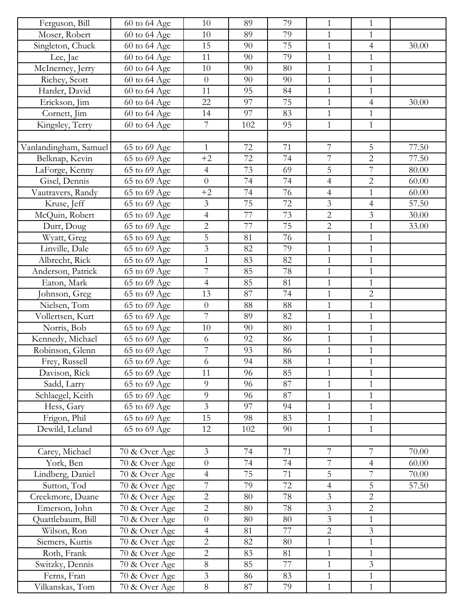| Ferguson, Bill        | 60 to 64 Age  | 10                       | 89  | 79              | $\mathbf{1}$                 | 1              |       |
|-----------------------|---------------|--------------------------|-----|-----------------|------------------------------|----------------|-------|
| Moser, Robert         | 60 to 64 Age  | 10                       | 89  | 79              | $\mathbf{1}$                 | $\mathbf{1}$   |       |
| Singleton, Chuck      | 60 to 64 Age  | 15                       | 90  | 75              | $\mathbf{1}$                 | $\overline{4}$ | 30.00 |
| Lee, Jae              | 60 to 64 Age  | 11                       | 90  | 79              | $\mathbf{1}$                 | $\mathbf{1}$   |       |
| McInerney, Jerry      | 60 to 64 Age  | 10                       | 90  | 80              | $\mathbf{1}$                 | $\mathbf{1}$   |       |
| Richey, Scott         | 60 to 64 Age  | $\overline{0}$           | 90  | 90              | $\mathbf{1}$                 | $\mathbf{1}$   |       |
| Harder, David         | 60 to 64 Age  | 11                       | 95  | 84              | $\mathbf{1}$                 | $\mathbf{1}$   |       |
| Erickson, Jim         | 60 to 64 Age  | 22                       | 97  | 75              | $\mathbf{1}$                 | $\overline{4}$ | 30.00 |
| Cornett, Jim          | 60 to 64 Age  | 14                       | 97  | 83              | $\mathbf{1}$                 | $\mathbf{1}$   |       |
| Kingsley, Terry       | 60 to 64 Age  | 7                        | 102 | 95              | $\mathbf{1}$                 | $\mathbf{1}$   |       |
|                       |               |                          |     |                 |                              |                |       |
| Vanlandingham, Samuel | 65 to 69 Age  | $\mathbf{1}$             | 72  | 71              | $\overline{\mathcal{I}}$     | $\overline{5}$ | 77.50 |
| Belknap, Kevin        | 65 to 69 Age  | $+2$                     | 72  | 74              | $\overline{7}$               | $\overline{2}$ | 77.50 |
| LaForge, Kenny        | 65 to 69 Age  | $\overline{4}$           | 73  | 69              | 5                            | $\overline{7}$ | 80.00 |
| Gisel, Dennis         | 65 to 69 Age  | $\overline{0}$           | 74  | 74              | $\overline{4}$               | $\overline{2}$ | 60.00 |
| Vautravers, Randy     | 65 to 69 Age  | $+2$                     | 74  | 76              | $\overline{4}$               | $\mathbf{1}$   | 60.00 |
| Kruse, Jeff           | 65 to 69 Age  | 3                        | 75  | 72              | $\mathfrak{Z}$               | $\overline{4}$ | 57.50 |
| McQuin, Robert        | 65 to 69 Age  | $\overline{4}$           | 77  | 73              | $\overline{2}$               | 3              | 30.00 |
| Durr, Doug            | 65 to 69 Age  | $\overline{c}$           | 77  | $\overline{75}$ | $\overline{2}$               | $\mathbf{1}$   | 33.00 |
| Wyatt, Greg           | 65 to 69 Age  | 5                        | 81  | 76              | $\mathbf{1}$                 | $\mathbf{1}$   |       |
| Linville, Dale        | 65 to 69 Age  | 3                        | 82  | 79              | $\mathbf{1}$                 | $\mathbf{1}$   |       |
| Albrecht, Rick        | 65 to 69 Age  | $\mathbf{1}$             | 83  | 82              | $\,1\,$                      | $\mathbf{1}$   |       |
| Anderson, Patrick     | 65 to 69 Age  | 7                        | 85  | 78              | $\mathbf{1}$                 | $\mathbf{1}$   |       |
| Eaton, Mark           |               | $\overline{4}$           | 85  | 81              | $\mathbf{1}$                 | $\mathbf{1}$   |       |
|                       | 65 to 69 Age  | 13                       | 87  | 74              | $\mathbf{1}$                 | $\overline{2}$ |       |
| Johnson, Greg         | 65 to 69 Age  |                          |     | 88              |                              |                |       |
| Nielsen, Tom          | 65 to 69 Age  | $\theta$<br>7            | 88  |                 | $\mathbf{1}$                 | $\mathbf{1}$   |       |
| Vollertsen, Kurt      | 65 to 69 Age  | 10                       | 89  | 82<br>80        | $\mathbf{1}$<br>$\mathbf{1}$ | $\mathbf{1}$   |       |
| Norris, Bob           | 65 to 69 Age  |                          | 90  |                 |                              | $\mathbf{1}$   |       |
| Kennedy, Michael      | 65 to 69 Age  | 6                        | 92  | 86              | $\mathbf{1}$                 | $\mathbf{1}$   |       |
| Robinson, Glenn       | 65 to 69 Age  | $\overline{7}$           | 93  | 86              | $\mathbf{1}$                 | $\mathbf{1}$   |       |
| Frey, Russell         | 65 to 69 Age  | 6                        | 94  | 88              | $\mathbf{1}$                 | $\overline{1}$ |       |
| Davison, Rick         | 65 to 69 Age  | 11                       | 96  | 85              | $\mathbf{1}$                 | 1              |       |
| Sadd, Larry           | 65 to 69 Age  | 9                        | 96  | 87              | $\mathbf{1}$                 | $\mathbf{1}$   |       |
| Schlaegel, Keith      | 65 to 69 Age  | 9                        | 96  | 87              | $\mathbf{1}$                 | $\mathbf{1}$   |       |
| Hess, Gary            | 65 to 69 Age  | $\overline{3}$           | 97  | 94              | $\mathbf{1}$                 | $\mathbf{1}$   |       |
| Frigon, Phil          | 65 to 69 Age  | 15                       | 98  | 83              | $\mathbf{1}$                 | 1              |       |
| Dewild, Leland        | 65 to 69 Age  | 12                       | 102 | 90              | $\mathbf{1}$                 | $\mathbf{1}$   |       |
|                       |               |                          |     |                 |                              |                |       |
| Carey, Michael        | 70 & Over Age | $\overline{3}$           | 74  | 71              | $\overline{7}$               | $7\phantom{.}$ | 70.00 |
| York, Ben             | 70 & Over Age | $\overline{0}$           | 74  | 74              | $\overline{7}$               | $\overline{4}$ | 60.00 |
| Lindberg, Daniel      | 70 & Over Age | $\overline{\mathcal{A}}$ | 75  | 71              | 5                            | $\overline{7}$ | 70.00 |
| Sutton, Tod           | 70 & Over Age | $\overline{7}$           | 79  | 72              | $\overline{4}$               | 5              | 57.50 |
| Creekmore, Duane      | 70 & Over Age | $\overline{2}$           | 80  | 78              | $\mathfrak{Z}$               | $\overline{2}$ |       |
| Emerson, John         | 70 & Over Age | $\overline{2}$           | 80  | 78              | $\mathfrak{Z}$               | $\overline{2}$ |       |
| Quattlebaum, Bill     | 70 & Over Age | $\overline{0}$           | 80  | 80              | $\overline{3}$               | $\mathbf{1}$   |       |
| Wilson, Ron           | 70 & Over Age | $\overline{4}$           | 81  | 77              | $\overline{2}$               | $\mathfrak{Z}$ |       |
| Siemers, Kurtis       | 70 & Over Age | $\overline{2}$           | 82  | 80              | $\,1\,$                      | $\mathbf{1}$   |       |
| Roth, Frank           | 70 & Over Age | $\overline{2}$           | 83  | 81              | $\mathbf{1}$                 | $\mathbf{1}$   |       |
| Switzky, Dennis       | 70 & Over Age | 8                        | 85  | 77              | $\mathbf{1}$                 | 3              |       |
| Ferns, Fran           | 70 & Over Age | $\overline{3}$           | 86  | 83              | $\mathbf{1}$                 | $\mathbf{1}$   |       |
| Vilkanskas, Tom       | 70 & Over Age | $8\,$                    | 87  | 79              | $\mathbf{1}$                 | $\mathbf{1}$   |       |